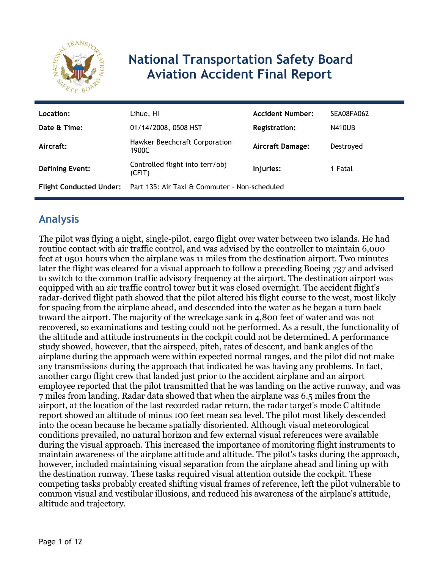

# **National Transportation Safety Board Aviation Accident Final Report**

| Location:              | Lihue, HI                                                                    | <b>Accident Number:</b> | SEA08FA062    |
|------------------------|------------------------------------------------------------------------------|-------------------------|---------------|
| Date & Time:           | 01/14/2008, 0508 HST                                                         | <b>Registration:</b>    | <b>N410UB</b> |
| Aircraft:              | Hawker Beechcraft Corporation<br>1900C                                       | <b>Aircraft Damage:</b> | Destroved     |
| <b>Defining Event:</b> | Controlled flight into terr/obj<br>(CFIT)                                    | Injuries:               | 1 Fatal       |
|                        | <b>Flight Conducted Under:</b> Part 135: Air Taxi & Commuter - Non-scheduled |                         |               |

## **Analysis**

The pilot was flying a night, single-pilot, cargo flight over water between two islands. He had routine contact with air traffic control, and was advised by the controller to maintain 6,000 feet at 0501 hours when the airplane was 11 miles from the destination airport. Two minutes later the flight was cleared for a visual approach to follow a preceding Boeing 737 and advised to switch to the common traffic advisory frequency at the airport. The destination airport was equipped with an air traffic control tower but it was closed overnight. The accident flight's radar-derived flight path showed that the pilot altered his flight course to the west, most likely for spacing from the airplane ahead, and descended into the water as he began a turn back toward the airport. The majority of the wreckage sank in 4,800 feet of water and was not recovered, so examinations and testing could not be performed. As a result, the functionality of the altitude and attitude instruments in the cockpit could not be determined. A performance study showed, however, that the airspeed, pitch, rates of descent, and bank angles of the airplane during the approach were within expected normal ranges, and the pilot did not make any transmissions during the approach that indicated he was having any problems. In fact, another cargo flight crew that landed just prior to the accident airplane and an airport employee reported that the pilot transmitted that he was landing on the active runway, and was 7 miles from landing. Radar data showed that when the airplane was 6.5 miles from the airport, at the location of the last recorded radar return, the radar target's mode C altitude report showed an altitude of minus 100 feet mean sea level. The pilot most likely descended into the ocean because he became spatially disoriented. Although visual meteorological conditions prevailed, no natural horizon and few external visual references were available during the visual approach. This increased the importance of monitoring flight instruments to maintain awareness of the airplane attitude and altitude. The pilot's tasks during the approach, however, included maintaining visual separation from the airplane ahead and lining up with the destination runway. These tasks required visual attention outside the cockpit. These competing tasks probably created shifting visual frames of reference, left the pilot vulnerable to common visual and vestibular illusions, and reduced his awareness of the airplane's attitude, altitude and trajectory.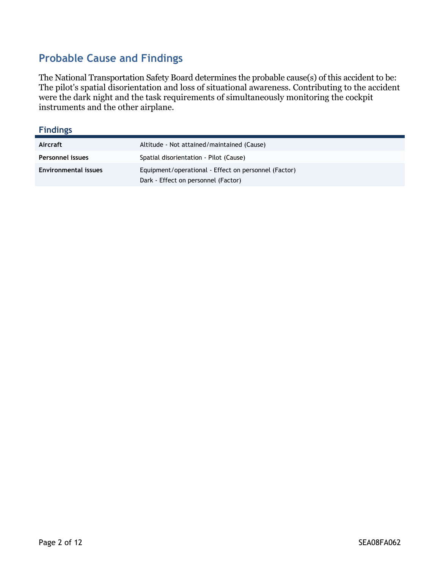## **Probable Cause and Findings**

The National Transportation Safety Board determines the probable cause(s) of this accident to be: The pilot's spatial disorientation and loss of situational awareness. Contributing to the accident were the dark night and the task requirements of simultaneously monitoring the cockpit instruments and the other airplane.

#### **Findings**

| Aircraft                    | Altitude - Not attained/maintained (Cause)                                                  |
|-----------------------------|---------------------------------------------------------------------------------------------|
| Personnel issues            | Spatial disorientation - Pilot (Cause)                                                      |
| <b>Environmental issues</b> | Equipment/operational - Effect on personnel (Factor)<br>Dark - Effect on personnel (Factor) |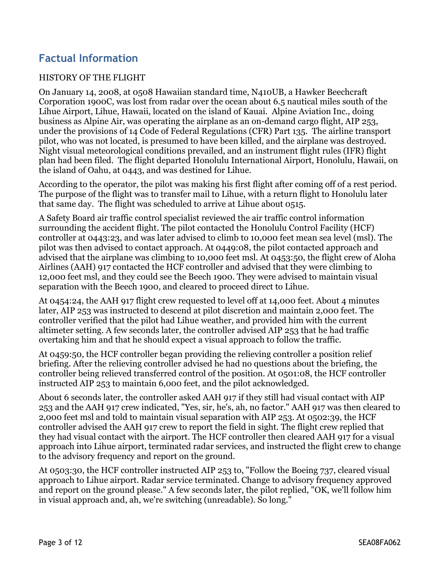## **Factual Information**

#### HISTORY OF THE FLIGHT

On January 14, 2008, at 0508 Hawaiian standard time, N410UB, a Hawker Beechcraft Corporation 1900C, was lost from radar over the ocean about 6.5 nautical miles south of the Lihue Airport, Lihue, Hawaii, located on the island of Kauai. Alpine Aviation Inc., doing business as Alpine Air, was operating the airplane as an on-demand cargo flight, AIP 253, under the provisions of 14 Code of Federal Regulations (CFR) Part 135. The airline transport pilot, who was not located, is presumed to have been killed, and the airplane was destroyed. Night visual meteorological conditions prevailed, and an instrument flight rules (IFR) flight plan had been filed. The flight departed Honolulu International Airport, Honolulu, Hawaii, on the island of Oahu, at 0443, and was destined for Lihue.

According to the operator, the pilot was making his first flight after coming off of a rest period. The purpose of the flight was to transfer mail to Lihue, with a return flight to Honolulu later that same day. The flight was scheduled to arrive at Lihue about 0515.

A Safety Board air traffic control specialist reviewed the air traffic control information surrounding the accident flight. The pilot contacted the Honolulu Control Facility (HCF) controller at 0443:23, and was later advised to climb to 10,000 feet mean sea level (msl). The pilot was then advised to contact approach. At 0449:08, the pilot contacted approach and advised that the airplane was climbing to 10,000 feet msl. At 0453:50, the flight crew of Aloha Airlines (AAH) 917 contacted the HCF controller and advised that they were climbing to 12,000 feet msl, and they could see the Beech 1900. They were advised to maintain visual separation with the Beech 1900, and cleared to proceed direct to Lihue.

At 0454:24, the AAH 917 flight crew requested to level off at 14,000 feet. About 4 minutes later, AIP 253 was instructed to descend at pilot discretion and maintain 2,000 feet. The controller verified that the pilot had Lihue weather, and provided him with the current altimeter setting. A few seconds later, the controller advised AIP 253 that he had traffic overtaking him and that he should expect a visual approach to follow the traffic.

At 0459:50, the HCF controller began providing the relieving controller a position relief briefing. After the relieving controller advised he had no questions about the briefing, the controller being relieved transferred control of the position. At 0501:08, the HCF controller instructed AIP 253 to maintain 6,000 feet, and the pilot acknowledged.

About 6 seconds later, the controller asked AAH 917 if they still had visual contact with AIP 253 and the AAH 917 crew indicated, "Yes, sir, he's, ah, no factor." AAH 917 was then cleared to 2,000 feet msl and told to maintain visual separation with AIP 253. At 0502:39, the HCF controller advised the AAH 917 crew to report the field in sight. The flight crew replied that they had visual contact with the airport. The HCF controller then cleared AAH 917 for a visual approach into Lihue airport, terminated radar services, and instructed the flight crew to change to the advisory frequency and report on the ground.

At 0503:30, the HCF controller instructed AIP 253 to, "Follow the Boeing 737, cleared visual approach to Lihue airport. Radar service terminated. Change to advisory frequency approved and report on the ground please." A few seconds later, the pilot replied, "OK, we'll follow him in visual approach and, ah, we're switching (unreadable). So long."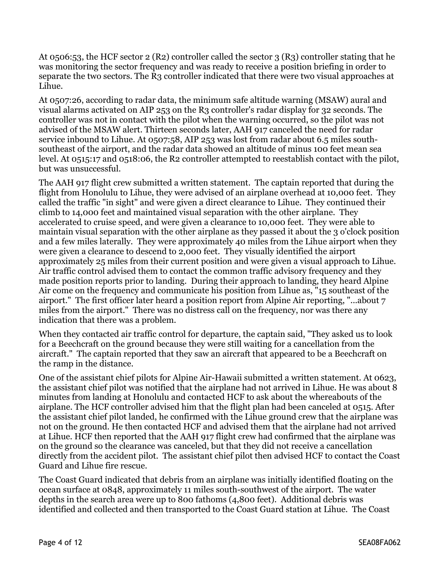At 0506:53, the HCF sector 2 (R2) controller called the sector 3 (R3) controller stating that he was monitoring the sector frequency and was ready to receive a position briefing in order to separate the two sectors. The R3 controller indicated that there were two visual approaches at Lihue.

At 0507:26, according to radar data, the minimum safe altitude warning (MSAW) aural and visual alarms activated on AIP 253 on the R3 controller's radar display for 32 seconds. The controller was not in contact with the pilot when the warning occurred, so the pilot was not advised of the MSAW alert. Thirteen seconds later, AAH 917 canceled the need for radar service inbound to Lihue. At 0507:58, AIP 253 was lost from radar about 6.5 miles southsoutheast of the airport, and the radar data showed an altitude of minus 100 feet mean sea level. At 0515:17 and 0518:06, the R2 controller attempted to reestablish contact with the pilot, but was unsuccessful.

The AAH 917 flight crew submitted a written statement. The captain reported that during the flight from Honolulu to Lihue, they were advised of an airplane overhead at 10,000 feet. They called the traffic "in sight" and were given a direct clearance to Lihue. They continued their climb to 14,000 feet and maintained visual separation with the other airplane. They accelerated to cruise speed, and were given a clearance to 10,000 feet. They were able to maintain visual separation with the other airplane as they passed it about the 3 o'clock position and a few miles laterally. They were approximately 40 miles from the Lihue airport when they were given a clearance to descend to 2,000 feet. They visually identified the airport approximately 25 miles from their current position and were given a visual approach to Lihue. Air traffic control advised them to contact the common traffic advisory frequency and they made position reports prior to landing. During their approach to landing, they heard Alpine Air come on the frequency and communicate his position from Lihue as, "15 southeast of the airport." The first officer later heard a position report from Alpine Air reporting, "...about 7 miles from the airport." There was no distress call on the frequency, nor was there any indication that there was a problem.

When they contacted air traffic control for departure, the captain said, "They asked us to look for a Beechcraft on the ground because they were still waiting for a cancellation from the aircraft." The captain reported that they saw an aircraft that appeared to be a Beechcraft on the ramp in the distance.

One of the assistant chief pilots for Alpine Air-Hawaii submitted a written statement. At 0623, the assistant chief pilot was notified that the airplane had not arrived in Lihue. He was about 8 minutes from landing at Honolulu and contacted HCF to ask about the whereabouts of the airplane. The HCF controller advised him that the flight plan had been canceled at 0515. After the assistant chief pilot landed, he confirmed with the Lihue ground crew that the airplane was not on the ground. He then contacted HCF and advised them that the airplane had not arrived at Lihue. HCF then reported that the AAH 917 flight crew had confirmed that the airplane was on the ground so the clearance was canceled, but that they did not receive a cancellation directly from the accident pilot. The assistant chief pilot then advised HCF to contact the Coast Guard and Lihue fire rescue.

The Coast Guard indicated that debris from an airplane was initially identified floating on the ocean surface at 0848, approximately 11 miles south-southwest of the airport. The water depths in the search area were up to 800 fathoms (4,800 feet). Additional debris was identified and collected and then transported to the Coast Guard station at Lihue. The Coast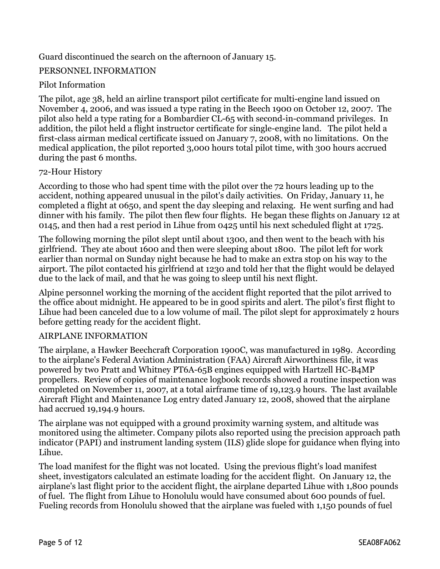#### Guard discontinued the search on the afternoon of January 15.

#### PERSONNEL INFORMATION

#### Pilot Information

The pilot, age 38, held an airline transport pilot certificate for multi-engine land issued on November 4, 2006, and was issued a type rating in the Beech 1900 on October 12, 2007. The pilot also held a type rating for a Bombardier CL-65 with second-in-command privileges. In addition, the pilot held a flight instructor certificate for single-engine land. The pilot held a first-class airman medical certificate issued on January 7, 2008, with no limitations. On the medical application, the pilot reported 3,000 hours total pilot time, with 300 hours accrued during the past 6 months.

#### 72-Hour History

According to those who had spent time with the pilot over the 72 hours leading up to the accident, nothing appeared unusual in the pilot's daily activities. On Friday, January 11, he completed a flight at 0650, and spent the day sleeping and relaxing. He went surfing and had dinner with his family. The pilot then flew four flights. He began these flights on January 12 at 0145, and then had a rest period in Lihue from 0425 until his next scheduled flight at 1725.

The following morning the pilot slept until about 1300, and then went to the beach with his girlfriend. They ate about 1600 and then were sleeping about 1800. The pilot left for work earlier than normal on Sunday night because he had to make an extra stop on his way to the airport. The pilot contacted his girlfriend at 1230 and told her that the flight would be delayed due to the lack of mail, and that he was going to sleep until his next flight.

Alpine personnel working the morning of the accident flight reported that the pilot arrived to the office about midnight. He appeared to be in good spirits and alert. The pilot's first flight to Lihue had been canceled due to a low volume of mail. The pilot slept for approximately 2 hours before getting ready for the accident flight.

#### AIRPLANE INFORMATION

The airplane, a Hawker Beechcraft Corporation 1900C, was manufactured in 1989. According to the airplane's Federal Aviation Administration (FAA) Aircraft Airworthiness file, it was powered by two Pratt and Whitney PT6A-65B engines equipped with Hartzell HC-B4MP propellers. Review of copies of maintenance logbook records showed a routine inspection was completed on November 11, 2007, at a total airframe time of 19,123.9 hours. The last available Aircraft Flight and Maintenance Log entry dated January 12, 2008, showed that the airplane had accrued 19,194.9 hours.

The airplane was not equipped with a ground proximity warning system, and altitude was monitored using the altimeter. Company pilots also reported using the precision approach path indicator (PAPI) and instrument landing system (ILS) glide slope for guidance when flying into Lihue.

The load manifest for the flight was not located. Using the previous flight's load manifest sheet, investigators calculated an estimate loading for the accident flight. On January 12, the airplane's last flight prior to the accident flight, the airplane departed Lihue with 1,800 pounds of fuel. The flight from Lihue to Honolulu would have consumed about 600 pounds of fuel. Fueling records from Honolulu showed that the airplane was fueled with 1,150 pounds of fuel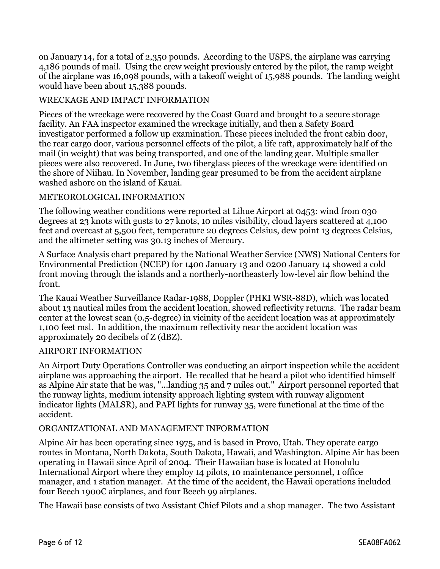on January 14, for a total of 2,350 pounds. According to the USPS, the airplane was carrying 4,186 pounds of mail. Using the crew weight previously entered by the pilot, the ramp weight of the airplane was 16,098 pounds, with a takeoff weight of 15,988 pounds. The landing weight would have been about 15,388 pounds.

#### WRECKAGE AND IMPACT INFORMATION

Pieces of the wreckage were recovered by the Coast Guard and brought to a secure storage facility. An FAA inspector examined the wreckage initially, and then a Safety Board investigator performed a follow up examination. These pieces included the front cabin door, the rear cargo door, various personnel effects of the pilot, a life raft, approximately half of the mail (in weight) that was being transported, and one of the landing gear. Multiple smaller pieces were also recovered. In June, two fiberglass pieces of the wreckage were identified on the shore of Niihau. In November, landing gear presumed to be from the accident airplane washed ashore on the island of Kauai.

#### METEOROLOGICAL INFORMATION

The following weather conditions were reported at Lihue Airport at 0453: wind from 030 degrees at 23 knots with gusts to 27 knots, 10 miles visibility, cloud layers scattered at 4,100 feet and overcast at 5,500 feet, temperature 20 degrees Celsius, dew point 13 degrees Celsius, and the altimeter setting was 30.13 inches of Mercury.

A Surface Analysis chart prepared by the National Weather Service (NWS) National Centers for Environmental Prediction (NCEP) for 1400 January 13 and 0200 January 14 showed a cold front moving through the islands and a northerly-northeasterly low-level air flow behind the front.

The Kauai Weather Surveillance Radar-1988, Doppler (PHKI WSR-88D), which was located about 13 nautical miles from the accident location, showed reflectivity returns. The radar beam center at the lowest scan (0.5-degree) in vicinity of the accident location was at approximately 1,100 feet msl. In addition, the maximum reflectivity near the accident location was approximately 20 decibels of Z (dBZ).

#### AIRPORT INFORMATION

An Airport Duty Operations Controller was conducting an airport inspection while the accident airplane was approaching the airport. He recalled that he heard a pilot who identified himself as Alpine Air state that he was, "...landing 35 and 7 miles out." Airport personnel reported that the runway lights, medium intensity approach lighting system with runway alignment indicator lights (MALSR), and PAPI lights for runway 35, were functional at the time of the accident.

#### ORGANIZATIONAL AND MANAGEMENT INFORMATION

Alpine Air has been operating since 1975, and is based in Provo, Utah. They operate cargo routes in Montana, North Dakota, South Dakota, Hawaii, and Washington. Alpine Air has been operating in Hawaii since April of 2004. Their Hawaiian base is located at Honolulu International Airport where they employ 14 pilots, 10 maintenance personnel, 1 office manager, and 1 station manager. At the time of the accident, the Hawaii operations included four Beech 1900C airplanes, and four Beech 99 airplanes.

The Hawaii base consists of two Assistant Chief Pilots and a shop manager. The two Assistant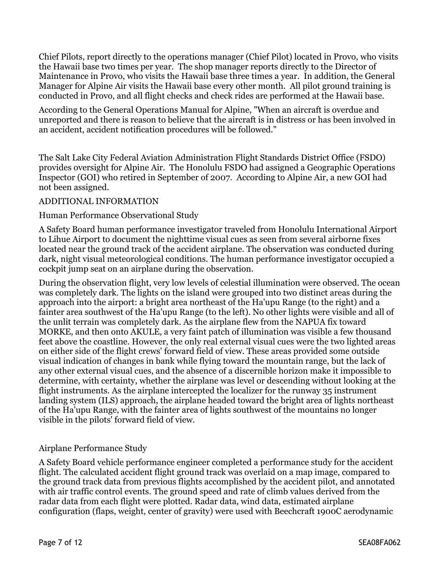Chief Pilots, report directly to the operations manager (Chief Pilot) located in Provo, who visits the Hawaii base two times per year. The shop manager reports directly to the Director of Maintenance in Provo, who visits the Hawaii base three times a year. In addition, the General Manager for Alpine Air visits the Hawaii base every other month. All pilot ground training is conducted in Provo, and all flight checks and check rides are performed at the Hawaii base.

According to the General Operations Manual for Alpine, "When an aircraft is overdue and unreported and there is reason to believe that the aircraft is in distress or has been involved in an accident, accident notification procedures will be followed."

The Salt Lake City Federal Aviation Administration Flight Standards District Office (FSDO) provides oversight for Alpine Air. The Honolulu FSDO had assigned a Geographic Operations Inspector (GOI) who retired in September of 2007. According to Alpine Air, a new GOI had not been assigned.

#### ADDITIONAL INFORMATION

#### Human Performance Observational Study

A Safety Board human performance investigator traveled from Honolulu International Airport to Lihue Airport to document the nighttime visual cues as seen from several airborne fixes located near the ground track of the accident airplane. The observation was conducted during dark, night visual meteorological conditions. The human performance investigator occupied a cockpit jump seat on an airplane during the observation.

During the observation flight, very low levels of celestial illumination were observed. The ocean was completely dark. The lights on the island were grouped into two distinct areas during the approach into the airport: a bright area northeast of the Ha'upu Range (to the right) and a fainter area southwest of the Ha'upu Range (to the left). No other lights were visible and all of the unlit terrain was completely dark. As the airplane flew from the NAPUA fix toward MORKE, and then onto AKULE, a very faint patch of illumination was visible a few thousand feet above the coastline. However, the only real external visual cues were the two lighted areas on either side of the flight crews' forward field of view. These areas provided some outside visual indication of changes in bank while flying toward the mountain range, but the lack of any other external visual cues, and the absence of a discernible horizon make it impossible to determine, with certainty, whether the airplane was level or descending without looking at the flight instruments. As the airplane intercepted the localizer for the runway 35 instrument landing system (ILS) approach, the airplane headed toward the bright area of lights northeast of the Ha'upu Range, with the fainter area of lights southwest of the mountains no longer visible in the pilots' forward field of view.

#### Airplane Performance Study

A Safety Board vehicle performance engineer completed a performance study for the accident flight. The calculated accident flight ground track was overlaid on a map image, compared to the ground track data from previous flights accomplished by the accident pilot, and annotated with air traffic control events. The ground speed and rate of climb values derived from the radar data from each flight were plotted. Radar data, wind data, estimated airplane configuration (flaps, weight, center of gravity) were used with Beechcraft 1900C aerodynamic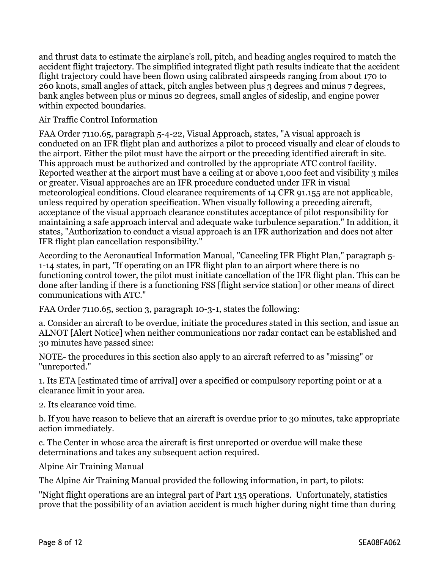and thrust data to estimate the airplane's roll, pitch, and heading angles required to match the accident flight trajectory. The simplified integrated flight path results indicate that the accident flight trajectory could have been flown using calibrated airspeeds ranging from about 170 to 260 knots, small angles of attack, pitch angles between plus 3 degrees and minus 7 degrees, bank angles between plus or minus 20 degrees, small angles of sideslip, and engine power within expected boundaries.

#### Air Traffic Control Information

FAA Order 7110.65, paragraph 5-4-22, Visual Approach, states, "A visual approach is conducted on an IFR flight plan and authorizes a pilot to proceed visually and clear of clouds to the airport. Either the pilot must have the airport or the preceding identified aircraft in site. This approach must be authorized and controlled by the appropriate ATC control facility. Reported weather at the airport must have a ceiling at or above 1,000 feet and visibility 3 miles or greater. Visual approaches are an IFR procedure conducted under IFR in visual meteorological conditions. Cloud clearance requirements of 14 CFR 91.155 are not applicable, unless required by operation specification. When visually following a preceding aircraft, acceptance of the visual approach clearance constitutes acceptance of pilot responsibility for maintaining a safe approach interval and adequate wake turbulence separation." In addition, it states, "Authorization to conduct a visual approach is an IFR authorization and does not alter IFR flight plan cancellation responsibility."

According to the Aeronautical Information Manual, "Canceling IFR Flight Plan," paragraph 5- 1-14 states, in part, "If operating on an IFR flight plan to an airport where there is no functioning control tower, the pilot must initiate cancellation of the IFR flight plan. This can be done after landing if there is a functioning FSS [flight service station] or other means of direct communications with ATC."

FAA Order 7110.65, section 3, paragraph 10-3-1, states the following:

a. Consider an aircraft to be overdue, initiate the procedures stated in this section, and issue an ALNOT [Alert Notice] when neither communications nor radar contact can be established and 30 minutes have passed since:

NOTE- the procedures in this section also apply to an aircraft referred to as "missing" or "unreported."

1. Its ETA [estimated time of arrival] over a specified or compulsory reporting point or at a clearance limit in your area.

2. Its clearance void time.

b. If you have reason to believe that an aircraft is overdue prior to 30 minutes, take appropriate action immediately.

c. The Center in whose area the aircraft is first unreported or overdue will make these determinations and takes any subsequent action required.

Alpine Air Training Manual

The Alpine Air Training Manual provided the following information, in part, to pilots:

"Night flight operations are an integral part of Part 135 operations. Unfortunately, statistics prove that the possibility of an aviation accident is much higher during night time than during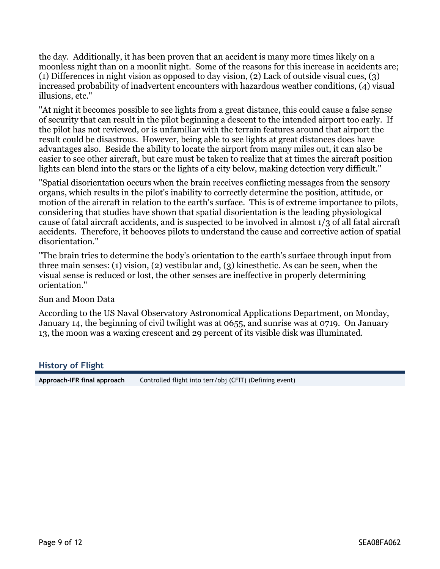the day. Additionally, it has been proven that an accident is many more times likely on a moonless night than on a moonlit night. Some of the reasons for this increase in accidents are; (1) Differences in night vision as opposed to day vision, (2) Lack of outside visual cues, (3) increased probability of inadvertent encounters with hazardous weather conditions, (4) visual illusions, etc."

"At night it becomes possible to see lights from a great distance, this could cause a false sense of security that can result in the pilot beginning a descent to the intended airport too early. If the pilot has not reviewed, or is unfamiliar with the terrain features around that airport the result could be disastrous. However, being able to see lights at great distances does have advantages also. Beside the ability to locate the airport from many miles out, it can also be easier to see other aircraft, but care must be taken to realize that at times the aircraft position lights can blend into the stars or the lights of a city below, making detection very difficult."

"Spatial disorientation occurs when the brain receives conflicting messages from the sensory organs, which results in the pilot's inability to correctly determine the position, attitude, or motion of the aircraft in relation to the earth's surface. This is of extreme importance to pilots, considering that studies have shown that spatial disorientation is the leading physiological cause of fatal aircraft accidents, and is suspected to be involved in almost 1/3 of all fatal aircraft accidents. Therefore, it behooves pilots to understand the cause and corrective action of spatial disorientation."

"The brain tries to determine the body's orientation to the earth's surface through input from three main senses: (1) vision, (2) vestibular and, (3) kinesthetic. As can be seen, when the visual sense is reduced or lost, the other senses are ineffective in properly determining orientation."

#### Sun and Moon Data

According to the US Naval Observatory Astronomical Applications Department, on Monday, January 14, the beginning of civil twilight was at 0655, and sunrise was at 0719. On January 13, the moon was a waxing crescent and 29 percent of its visible disk was illuminated.

#### **History of Flight**

**Approach-IFR final approach** Controlled flight into terr/obj (CFIT) (Defining event)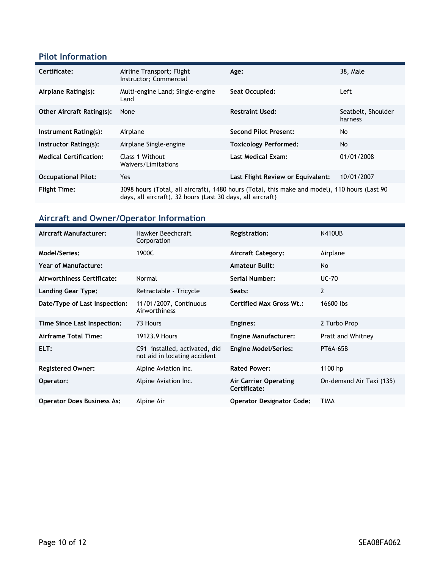### **Pilot Information**

| Certificate:                     | Airline Transport; Flight<br>Instructor; Commercial                                                                                                         | Age:                              | 38, Male                      |
|----------------------------------|-------------------------------------------------------------------------------------------------------------------------------------------------------------|-----------------------------------|-------------------------------|
| Airplane Rating(s):              | Multi-engine Land; Single-engine<br>Land                                                                                                                    | Seat Occupied:                    | Left                          |
| <b>Other Aircraft Rating(s):</b> | None                                                                                                                                                        | <b>Restraint Used:</b>            | Seatbelt, Shoulder<br>harness |
| Instrument Rating(s):            | Airplane                                                                                                                                                    | <b>Second Pilot Present:</b>      | No                            |
| Instructor Rating(s):            | Airplane Single-engine                                                                                                                                      | <b>Toxicology Performed:</b>      | <b>No</b>                     |
| <b>Medical Certification:</b>    | Class 1 Without<br>Waivers/Limitations                                                                                                                      | <b>Last Medical Exam:</b>         | 01/01/2008                    |
| <b>Occupational Pilot:</b>       | Yes.                                                                                                                                                        | Last Flight Review or Equivalent: | 10/01/2007                    |
| <b>Flight Time:</b>              | 3098 hours (Total, all aircraft), 1480 hours (Total, this make and model), 110 hours (Last 90<br>days, all aircraft), 32 hours (Last 30 days, all aircraft) |                                   |                               |

## **Aircraft and Owner/Operator Information**

| Aircraft Manufacturer:            | Hawker Beechcraft<br>Corporation                              | <b>Registration:</b>                  | <b>N410UB</b>            |
|-----------------------------------|---------------------------------------------------------------|---------------------------------------|--------------------------|
| Model/Series:                     | 1900C                                                         | <b>Aircraft Category:</b>             | Airplane                 |
| <b>Year of Manufacture:</b>       |                                                               | <b>Amateur Built:</b>                 | <b>No</b>                |
| Airworthiness Certificate:        | Normal                                                        | Serial Number:                        | $UC-70$                  |
| Landing Gear Type:                | Retractable - Tricycle                                        | Seats:                                | $\overline{2}$           |
| Date/Type of Last Inspection:     | 11/01/2007, Continuous<br>Airworthiness                       | <b>Certified Max Gross Wt.:</b>       | 16600 lbs                |
| Time Since Last Inspection:       | 73 Hours                                                      | Engines:                              | 2 Turbo Prop             |
| Airframe Total Time:              | 19123.9 Hours                                                 | <b>Engine Manufacturer:</b>           | Pratt and Whitney        |
| ELT:                              | C91 installed, activated, did<br>not aid in locating accident | <b>Engine Model/Series:</b>           | PT6A-65B                 |
| <b>Registered Owner:</b>          | Alpine Aviation Inc.                                          | <b>Rated Power:</b>                   | 1100 hp                  |
| Operator:                         | Alpine Aviation Inc.                                          | Air Carrier Operating<br>Certificate: | On-demand Air Taxi (135) |
| <b>Operator Does Business As:</b> | Alpine Air                                                    | <b>Operator Designator Code:</b>      | <b>TIMA</b>              |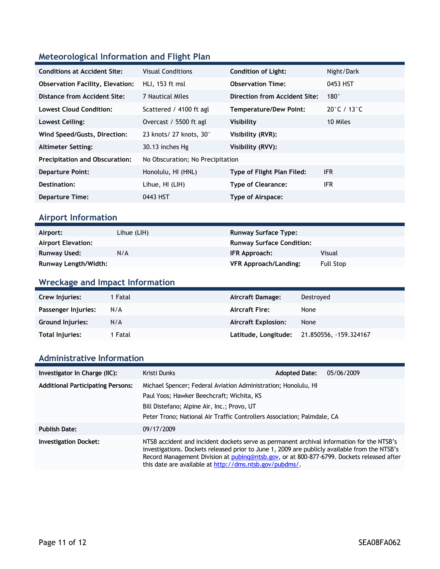## **Meteorological Information and Flight Plan**

| <b>Conditions at Accident Site:</b>     | <b>Visual Conditions</b>         | <b>Condition of Light:</b>    | Night/Dark  |
|-----------------------------------------|----------------------------------|-------------------------------|-------------|
| <b>Observation Facility, Elevation:</b> | HLI, 153 ft msl                  | <b>Observation Time:</b>      | 0453 HST    |
| Distance from Accident Site:            | 7 Nautical Miles                 | Direction from Accident Site: | $180^\circ$ |
| <b>Lowest Cloud Condition:</b>          | Scattered / 4100 ft agl          | <b>Temperature/Dew Point:</b> | 20°C / 13°C |
| Lowest Ceiling:                         | Overcast / 5500 ft agl           | Visibility                    | 10 Miles    |
| Wind Speed/Gusts, Direction:            | 23 knots/27 knots, 30°           | Visibility (RVR):             |             |
| <b>Altimeter Setting:</b>               | 30.13 inches Hg                  | Visibility (RVV):             |             |
| <b>Precipitation and Obscuration:</b>   | No Obscuration; No Precipitation |                               |             |
| <b>Departure Point:</b>                 | Honolulu, HI (HNL)               | Type of Flight Plan Filed:    | <b>IFR</b>  |
| Destination:                            | Lihue, HI (LIH)                  | <b>Type of Clearance:</b>     | <b>IFR</b>  |
| <b>Departure Time:</b>                  | 0443 HST                         | Type of Airspace:             |             |

## **Airport Information**

| Airport:                    | Lihue (LIH) | <b>Runway Surface Type:</b>      |                  |
|-----------------------------|-------------|----------------------------------|------------------|
| <b>Airport Elevation:</b>   |             | <b>Runway Surface Condition:</b> |                  |
| Runway Used:                | N/A         | IFR Approach:                    | Visual           |
| <b>Runway Length/Width:</b> |             | <b>VFR Approach/Landing:</b>     | <b>Full Stop</b> |

## **Wreckage and Impact Information**

| Crew Injuries:      | 1 Fatal | Aircraft Damage:           | Destroyed             |
|---------------------|---------|----------------------------|-----------------------|
| Passenger Injuries: | N/A     | <b>Aircraft Fire:</b>      | None                  |
| Ground Injuries:    | N/A     | <b>Aircraft Explosion:</b> | None                  |
| Total Injuries:     | 1 Fatal | Latitude, Longitude;       | 21.850556, 159.324167 |

#### **Administrative Information**

| Investigator In Charge (IIC):            | Kristi Dunks                                                                                                                                                                                                                                                                                                                                       | <b>Adopted Date:</b> | 05/06/2009 |
|------------------------------------------|----------------------------------------------------------------------------------------------------------------------------------------------------------------------------------------------------------------------------------------------------------------------------------------------------------------------------------------------------|----------------------|------------|
| <b>Additional Participating Persons:</b> | Michael Spencer; Federal Aviation Administration; Honolulu, HI                                                                                                                                                                                                                                                                                     |                      |            |
|                                          | Paul Yoos; Hawker Beechcraft; Wichita, KS<br>Bill Distefano; Alpine Air, Inc.; Provo, UT<br>Peter Trono; National Air Traffic Controllers Association; Palmdale, CA                                                                                                                                                                                |                      |            |
|                                          |                                                                                                                                                                                                                                                                                                                                                    |                      |            |
|                                          |                                                                                                                                                                                                                                                                                                                                                    |                      |            |
| <b>Publish Date:</b>                     | 09/17/2009                                                                                                                                                                                                                                                                                                                                         |                      |            |
| <b>Investigation Docket:</b>             | NTSB accident and incident dockets serve as permanent archival information for the NTSB's<br>investigations. Dockets released prior to June 1, 2009 are publicly available from the NTSB's<br>Record Management Division at pubing@ntsb.gov, or at 800-877-6799. Dockets released after<br>this date are available at http://dms.ntsb.gov/pubdms/. |                      |            |